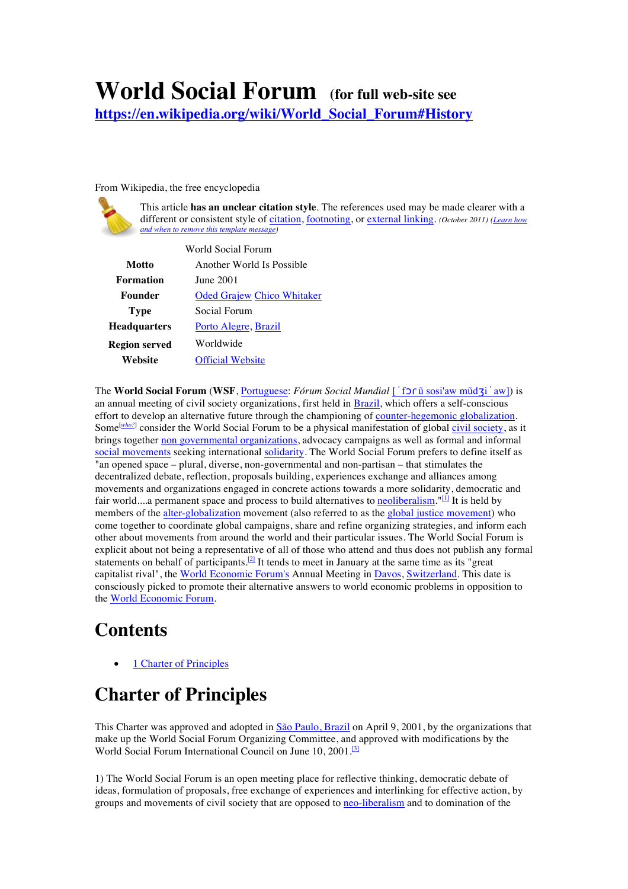## **World Social Forum (for full web-site see**

**https://en.wikipedia.org/wiki/World\_Social\_Forum#History**

From Wikipedia, the free encyclopedia



This article **has an unclear citation style**. The references used may be made clearer with a different or consistent style of citation, footnoting, or external linking. *(October 2011) (Learn how and when to remove this template message)*

| World Social Forum   |                                   |
|----------------------|-----------------------------------|
| Motto                | Another World Is Possible         |
| Formation            | June 2001                         |
| Founder              | <b>Oded Grajew Chico Whitaker</b> |
| <b>Type</b>          | Social Forum                      |
| <b>Headquarters</b>  | Porto Alegre, Brazil              |
| <b>Region served</b> | Worldwide                         |
| Website              | <b>Official Website</b>           |
|                      |                                   |

The **World Social Forum** (**WSF**, Portuguese: *Fórum Social Mundial* [ˈfɔɾũ sosi'aw mũdʒiˈaw]) is an annual meeting of civil society organizations, first held in Brazil, which offers a self-conscious effort to develop an alternative future through the championing of counter-hegemonic globalization. Some<sup>[who?]</sup> consider the World Social Forum to be a physical manifestation of global civil society, as it brings together non governmental organizations, advocacy campaigns as well as formal and informal social movements seeking international solidarity. The World Social Forum prefers to define itself as "an opened space – plural, diverse, non-governmental and non-partisan – that stimulates the decentralized debate, reflection, proposals building, experiences exchange and alliances among movements and organizations engaged in concrete actions towards a more solidarity, democratic and fair world....a permanent space and process to build alternatives to neoliberalism."<sup>[1]</sup> It is held by members of the alter-globalization movement (also referred to as the global justice movement) who come together to coordinate global campaigns, share and refine organizing strategies, and inform each other about movements from around the world and their particular issues. The World Social Forum is explicit about not being a representative of all of those who attend and thus does not publish any formal statements on behalf of participants.[2] It tends to meet in January at the same time as its "great capitalist rival", the World Economic Forum's Annual Meeting in Davos, Switzerland. This date is consciously picked to promote their alternative answers to world economic problems in opposition to the World Economic Forum.

## **Contents**

1 Charter of Principles

## **Charter of Principles**

This Charter was approved and adopted in São Paulo, Brazil on April 9, 2001, by the organizations that make up the World Social Forum Organizing Committee, and approved with modifications by the World Social Forum International Council on June 10, 2001.<sup>[3]</sup>

1) The World Social Forum is an open meeting place for reflective thinking, democratic debate of ideas, formulation of proposals, free exchange of experiences and interlinking for effective action, by groups and movements of civil society that are opposed to neo-liberalism and to domination of the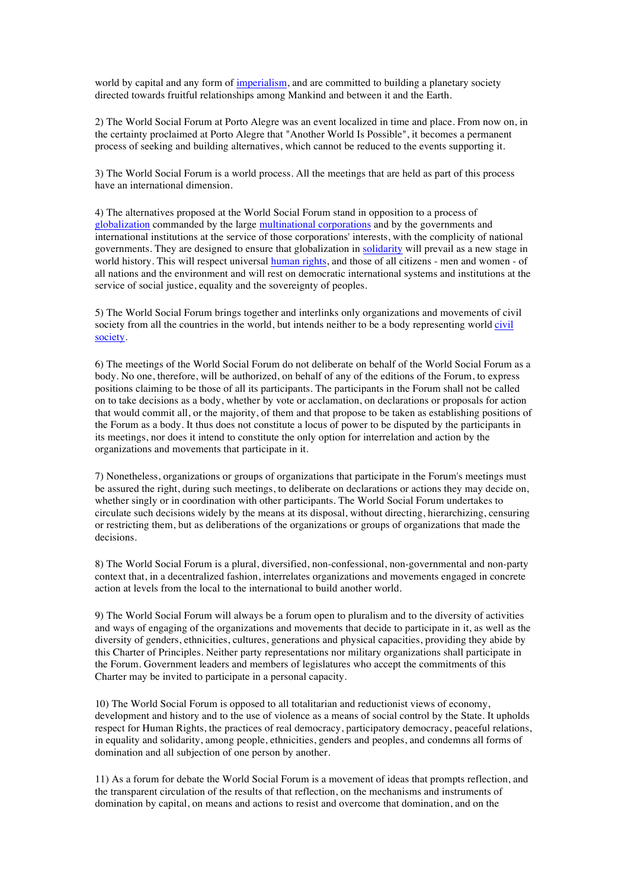world by capital and any form of imperialism, and are committed to building a planetary society directed towards fruitful relationships among Mankind and between it and the Earth.

2) The World Social Forum at Porto Alegre was an event localized in time and place. From now on, in the certainty proclaimed at Porto Alegre that "Another World Is Possible", it becomes a permanent process of seeking and building alternatives, which cannot be reduced to the events supporting it.

3) The World Social Forum is a world process. All the meetings that are held as part of this process have an international dimension.

4) The alternatives proposed at the World Social Forum stand in opposition to a process of globalization commanded by the large multinational corporations and by the governments and international institutions at the service of those corporations' interests, with the complicity of national governments. They are designed to ensure that globalization in solidarity will prevail as a new stage in world history. This will respect universal human rights, and those of all citizens - men and women - of all nations and the environment and will rest on democratic international systems and institutions at the service of social justice, equality and the sovereignty of peoples.

5) The World Social Forum brings together and interlinks only organizations and movements of civil society from all the countries in the world, but intends neither to be a body representing world civil society.

6) The meetings of the World Social Forum do not deliberate on behalf of the World Social Forum as a body. No one, therefore, will be authorized, on behalf of any of the editions of the Forum, to express positions claiming to be those of all its participants. The participants in the Forum shall not be called on to take decisions as a body, whether by vote or acclamation, on declarations or proposals for action that would commit all, or the majority, of them and that propose to be taken as establishing positions of the Forum as a body. It thus does not constitute a locus of power to be disputed by the participants in its meetings, nor does it intend to constitute the only option for interrelation and action by the organizations and movements that participate in it.

7) Nonetheless, organizations or groups of organizations that participate in the Forum's meetings must be assured the right, during such meetings, to deliberate on declarations or actions they may decide on, whether singly or in coordination with other participants. The World Social Forum undertakes to circulate such decisions widely by the means at its disposal, without directing, hierarchizing, censuring or restricting them, but as deliberations of the organizations or groups of organizations that made the decisions.

8) The World Social Forum is a plural, diversified, non-confessional, non-governmental and non-party context that, in a decentralized fashion, interrelates organizations and movements engaged in concrete action at levels from the local to the international to build another world.

9) The World Social Forum will always be a forum open to pluralism and to the diversity of activities and ways of engaging of the organizations and movements that decide to participate in it, as well as the diversity of genders, ethnicities, cultures, generations and physical capacities, providing they abide by this Charter of Principles. Neither party representations nor military organizations shall participate in the Forum. Government leaders and members of legislatures who accept the commitments of this Charter may be invited to participate in a personal capacity.

10) The World Social Forum is opposed to all totalitarian and reductionist views of economy, development and history and to the use of violence as a means of social control by the State. It upholds respect for Human Rights, the practices of real democracy, participatory democracy, peaceful relations, in equality and solidarity, among people, ethnicities, genders and peoples, and condemns all forms of domination and all subjection of one person by another.

11) As a forum for debate the World Social Forum is a movement of ideas that prompts reflection, and the transparent circulation of the results of that reflection, on the mechanisms and instruments of domination by capital, on means and actions to resist and overcome that domination, and on the